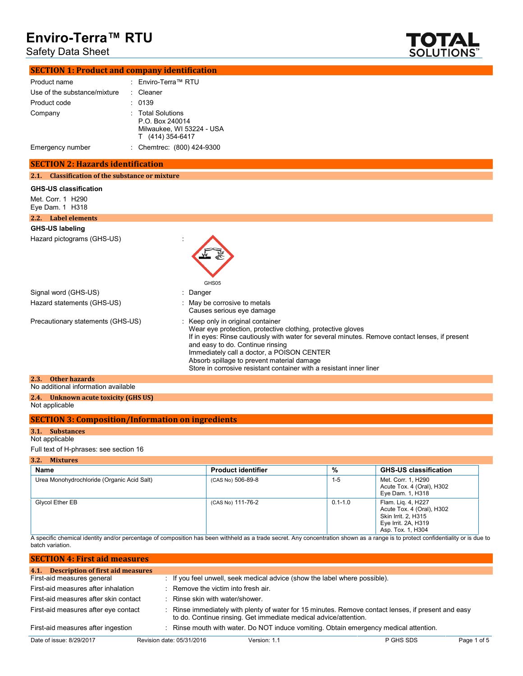### Safety Data Sheet



|                                                           | <b>SECTION 1: Product and company identification</b>                                  |  |
|-----------------------------------------------------------|---------------------------------------------------------------------------------------|--|
| Product name                                              | : Enviro-Terra™ RTU                                                                   |  |
| Use of the substance/mixture                              | : Cleaner                                                                             |  |
| Product code                                              | : 0139                                                                                |  |
| Company                                                   | : Total Solutions<br>P.O. Box 240014<br>Milwaukee, WI 53224 - USA<br>T (414) 354-6417 |  |
| Emergency number                                          | : Chemtrec: (800) 424-9300                                                            |  |
| <b>SECTION 2: Hazards identification</b>                  |                                                                                       |  |
| <b>Classification of the substance or mixture</b><br>2.1. |                                                                                       |  |
| <b>GHS-US classification</b>                              |                                                                                       |  |
| Met. Corr. 1 H290<br>Eye Dam. $1$ H318                    |                                                                                       |  |
| 2.2. Label elements                                       |                                                                                       |  |

#### **GHS-US labeling**

Hazard pictograms (GHS-US) in the state of the state of the state of the state of the state of the state of the state of the state of the state of the state of the state of the state of the state of the state of the state



| Signal word (GHS-US)                | : Danger                                                                                                                                                                                                                                                                                                                                                                                                  |
|-------------------------------------|-----------------------------------------------------------------------------------------------------------------------------------------------------------------------------------------------------------------------------------------------------------------------------------------------------------------------------------------------------------------------------------------------------------|
| Hazard statements (GHS-US)          | : May be corrosive to metals<br>Causes serious eye damage                                                                                                                                                                                                                                                                                                                                                 |
| Precautionary statements (GHS-US)   | : Keep only in original container<br>Wear eye protection, protective clothing, protective gloves<br>If in eyes: Rinse cautiously with water for several minutes. Remove contact lenses, if present<br>and easy to do. Continue rinsing<br>Immediately call a doctor, a POISON CENTER<br>Absorb spillage to prevent material damage<br>Store in corrosive resistant container with a resistant inner liner |
| 2.3. Other hazards                  |                                                                                                                                                                                                                                                                                                                                                                                                           |
| No additional information available |                                                                                                                                                                                                                                                                                                                                                                                                           |

#### **2.4. Unknown acute toxicity (GHS US)** Not applicable

| <b>SECTION 3: Composition/Information on ingredients</b> |
|----------------------------------------------------------|
|----------------------------------------------------------|

#### **3.1. Substances**

Not applicable

Full text of H-phrases: see section 16

| 3.2.<br><b>Mixtures</b>                    |                           |             |                                                                                                                    |
|--------------------------------------------|---------------------------|-------------|--------------------------------------------------------------------------------------------------------------------|
| Name                                       | <b>Product identifier</b> | %           | <b>GHS-US classification</b>                                                                                       |
| Urea Monohydrochloride (Organic Acid Salt) | (CAS No) 506-89-8         | $1 - 5$     | Met. Corr. 1, H290<br>Acute Tox. 4 (Oral), H302<br>Eye Dam. 1, H318                                                |
| Glycol Ether EB                            | (CAS No) 111-76-2         | $0.1 - 1.0$ | Flam. Lig. 4, H227<br>Acute Tox. 4 (Oral), H302<br>Skin Irrit. 2, H315<br>Eye Irrit. 2A, H319<br>Asp. Tox. 1, H304 |

A specific chemical identity and/or percentage of composition has been withheld as a trade secret. Any concentration shown as a range is to protect confidentiality or is due to batch variation.

| <b>SECTION 4: First aid measures</b>   |                                     |                                                                            |                                                                                                   |             |
|----------------------------------------|-------------------------------------|----------------------------------------------------------------------------|---------------------------------------------------------------------------------------------------|-------------|
| 4.1. Description of first aid measures |                                     |                                                                            |                                                                                                   |             |
| First-aid measures general             |                                     | : If you feel unwell, seek medical advice (show the label where possible). |                                                                                                   |             |
| First-aid measures after inhalation    | : Remove the victim into fresh air. |                                                                            |                                                                                                   |             |
| First-aid measures after skin contact  | : Rinse skin with water/shower.     |                                                                            |                                                                                                   |             |
| First-aid measures after eye contact   |                                     | to do. Continue rinsing. Get immediate medical advice/attention.           | Rinse immediately with plenty of water for 15 minutes. Remove contact lenses, if present and easy |             |
| First-aid measures after ingestion     |                                     |                                                                            | : Rinse mouth with water. Do NOT induce vomiting. Obtain emergency medical attention.             |             |
| Date of issue: 8/29/2017               | Revision date: 05/31/2016           | Version: 1.1                                                               | P GHS SDS                                                                                         | Page 1 of 5 |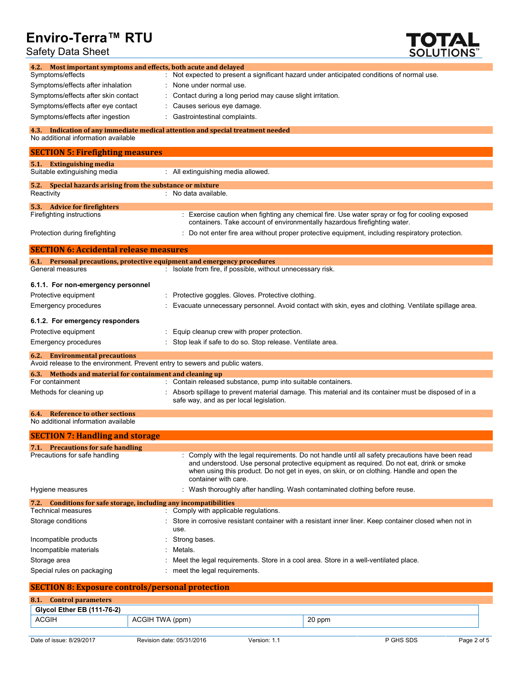Safety Data Sheet



| Most important symptoms and effects, both acute and delayed<br>4.2.                                                                       |                                                                                                                                                                                                                                                                                                                   |
|-------------------------------------------------------------------------------------------------------------------------------------------|-------------------------------------------------------------------------------------------------------------------------------------------------------------------------------------------------------------------------------------------------------------------------------------------------------------------|
| Symptoms/effects                                                                                                                          | Not expected to present a significant hazard under anticipated conditions of normal use.                                                                                                                                                                                                                          |
| Symptoms/effects after inhalation                                                                                                         | None under normal use.                                                                                                                                                                                                                                                                                            |
| Symptoms/effects after skin contact                                                                                                       | Contact during a long period may cause slight irritation.                                                                                                                                                                                                                                                         |
| Symptoms/effects after eye contact                                                                                                        | Causes serious eye damage.                                                                                                                                                                                                                                                                                        |
| Symptoms/effects after ingestion                                                                                                          | Gastrointestinal complaints.                                                                                                                                                                                                                                                                                      |
| 4.3.<br>No additional information available                                                                                               | Indication of any immediate medical attention and special treatment needed                                                                                                                                                                                                                                        |
| <b>SECTION 5: Firefighting measures</b>                                                                                                   |                                                                                                                                                                                                                                                                                                                   |
| <b>Extinguishing media</b><br>5.1.<br>Suitable extinguishing media                                                                        | : All extinguishing media allowed.                                                                                                                                                                                                                                                                                |
| 5.2.<br>Special hazards arising from the substance or mixture<br>Reactivity                                                               | : No data available.                                                                                                                                                                                                                                                                                              |
| 5.3. Advice for fire fighters<br>Firefighting instructions                                                                                | : Exercise caution when fighting any chemical fire. Use water spray or fog for cooling exposed                                                                                                                                                                                                                    |
| Protection during firefighting                                                                                                            | containers. Take account of environmentally hazardous firefighting water.<br>: Do not enter fire area without proper protective equipment, including respiratory protection.                                                                                                                                      |
| <b>SECTION 6: Accidental release measures</b>                                                                                             |                                                                                                                                                                                                                                                                                                                   |
| 6.1. Personal precautions, protective equipment and emergency procedures                                                                  |                                                                                                                                                                                                                                                                                                                   |
| General measures                                                                                                                          | : Isolate from fire, if possible, without unnecessary risk.                                                                                                                                                                                                                                                       |
| 6.1.1. For non-emergency personnel                                                                                                        |                                                                                                                                                                                                                                                                                                                   |
| Protective equipment                                                                                                                      | Protective goggles. Gloves. Protective clothing.                                                                                                                                                                                                                                                                  |
| <b>Emergency procedures</b>                                                                                                               | Evacuate unnecessary personnel. Avoid contact with skin, eyes and clothing. Ventilate spillage area.                                                                                                                                                                                                              |
| 6.1.2. For emergency responders                                                                                                           |                                                                                                                                                                                                                                                                                                                   |
| Protective equipment                                                                                                                      | Equip cleanup crew with proper protection.                                                                                                                                                                                                                                                                        |
| <b>Emergency procedures</b>                                                                                                               | Stop leak if safe to do so. Stop release. Ventilate area.                                                                                                                                                                                                                                                         |
| <b>6.2.</b> Environmental precautions                                                                                                     |                                                                                                                                                                                                                                                                                                                   |
| Avoid release to the environment. Prevent entry to sewers and public waters.<br>6.3. Methods and material for containment and cleaning up |                                                                                                                                                                                                                                                                                                                   |
| For containment                                                                                                                           | : Contain released substance, pump into suitable containers.                                                                                                                                                                                                                                                      |
| Methods for cleaning up                                                                                                                   | Absorb spillage to prevent material damage. This material and its container must be disposed of in a<br>safe way, and as per local legislation.                                                                                                                                                                   |
| <b>6.4.</b> Reference to other sections<br>No additional information available                                                            |                                                                                                                                                                                                                                                                                                                   |
| <b>SECTION 7: Handling and storage</b>                                                                                                    |                                                                                                                                                                                                                                                                                                                   |
| 7.1. Precautions for safe handling                                                                                                        |                                                                                                                                                                                                                                                                                                                   |
| Precautions for safe handling                                                                                                             | : Comply with the legal requirements. Do not handle until all safety precautions have been read<br>and understood. Use personal protective equipment as required. Do not eat, drink or smoke<br>when using this product. Do not get in eyes, on skin, or on clothing. Handle and open the<br>container with care. |
| Hygiene measures                                                                                                                          | : Wash thoroughly after handling. Wash contaminated clothing before reuse.                                                                                                                                                                                                                                        |
| 7.2. Conditions for safe storage, including any incompatibilities<br><b>Technical measures</b>                                            | : Comply with applicable regulations.                                                                                                                                                                                                                                                                             |
|                                                                                                                                           |                                                                                                                                                                                                                                                                                                                   |
| Storage conditions                                                                                                                        | Store in corrosive resistant container with a resistant inner liner. Keep container closed when not in<br>use.                                                                                                                                                                                                    |
| Incompatible products                                                                                                                     | Strong bases.                                                                                                                                                                                                                                                                                                     |
| Incompatible materials                                                                                                                    | Metals.                                                                                                                                                                                                                                                                                                           |
| Storage area                                                                                                                              | Meet the legal requirements. Store in a cool area. Store in a well-ventilated place.                                                                                                                                                                                                                              |
| Special rules on packaging                                                                                                                | : meet the legal requirements.                                                                                                                                                                                                                                                                                    |
| <b>SECTION 8: Exposure controls/personal protection</b>                                                                                   |                                                                                                                                                                                                                                                                                                                   |
| <b>Control parameters</b><br>8.1.                                                                                                         |                                                                                                                                                                                                                                                                                                                   |
| Glycol Ether EB (111-76-2)                                                                                                                |                                                                                                                                                                                                                                                                                                                   |

ACGIH ACGIH TWA (ppm) 20 ppm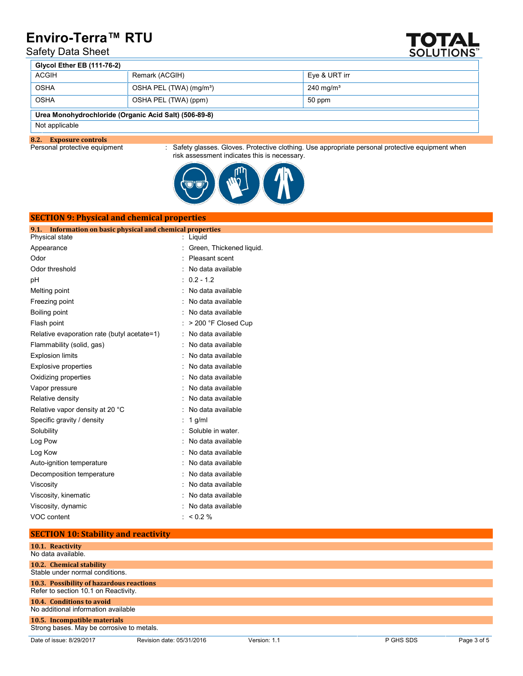### Safety Data Sheet



| <b>Giveol Ether EB (111-76-2)</b>                     |                                     |                      |  |
|-------------------------------------------------------|-------------------------------------|----------------------|--|
| <b>ACGIH</b>                                          | Remark (ACGIH)                      | Eve & URT irr        |  |
| OSHA                                                  | OSHA PEL (TWA) (mg/m <sup>3</sup> ) | $240 \text{ mg/m}^3$ |  |
| <b>OSHA</b>                                           | OSHA PEL (TWA) (ppm)                | 50 ppm               |  |
| Urea Monohydrochloride (Organic Acid Salt) (506-89-8) |                                     |                      |  |

#### Not applicable

**8.2. Exposure controls**

**SECTION 9: Physical and chemical properties**

: Safety glasses. Gloves. Protective clothing. Use appropriate personal protective equipment when risk assessment indicates this is necessary.



| Information on basic physical and chemical properties<br>9.1 |                          |
|--------------------------------------------------------------|--------------------------|
| Physical state                                               | Liquid                   |
| Appearance                                                   | Green, Thickened liquid. |
| Odor                                                         | Pleasant scent           |
| Odor threshold                                               | No data available        |
| рH                                                           | $0.2 - 1.2$              |
| Melting point                                                | No data available        |
| Freezing point                                               | No data available        |
| Boiling point                                                | No data available        |
| Flash point                                                  | > 200 °F Closed Cup      |
| Relative evaporation rate (butyl acetate=1)                  | No data available        |
| Flammability (solid, gas)                                    | No data available        |
| <b>Explosion limits</b>                                      | No data available        |
| <b>Explosive properties</b>                                  | No data available        |
| Oxidizing properties                                         | No data available        |
| Vapor pressure                                               | No data available        |
| Relative density                                             | No data available        |
| Relative vapor density at 20 °C                              | No data available        |
| Specific gravity / density                                   | $1$ g/ml                 |
| Solubility                                                   | Soluble in water.        |
| Log Pow                                                      | No data available        |
| Log Kow                                                      | No data available        |
| Auto-ignition temperature                                    | No data available        |
| Decomposition temperature                                    | No data available        |
| Viscosity                                                    | No data available        |
| Viscosity, kinematic                                         | No data available        |
| Viscosity, dynamic                                           | No data available        |
| VOC content                                                  | < 0.2 %                  |

#### **SECTION 10: Stability and reactivity**

| 10.1. Reactivity<br>No data available.                                      |
|-----------------------------------------------------------------------------|
| 10.2. Chemical stability                                                    |
| Stable under normal conditions.<br>10.3. Possibility of hazardous reactions |
| Refer to section 10.1 on Reactivity.                                        |
| <b>10.4. Conditions to avoid</b><br>No additional information available     |
| 10.5. Incompatible materials<br>Strong bases. May be corrosive to metals.   |

Date of issue: 8/29/2017 Revision date: 05/31/2016 Version: 1.1 P GHS SDS Page 3 of 5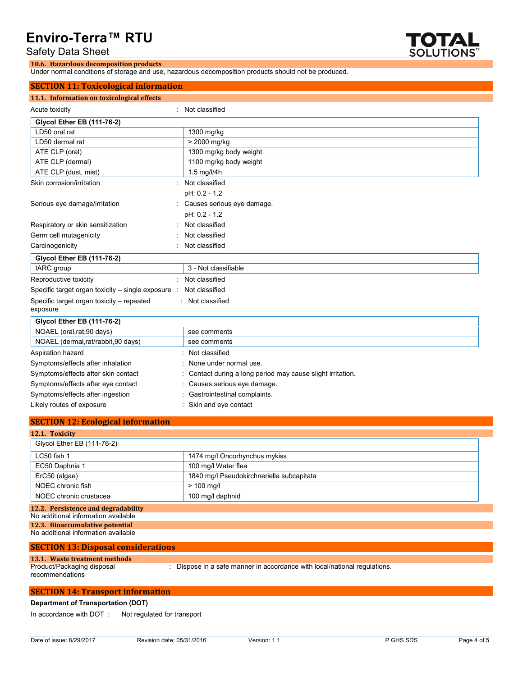Safety Data Sheet



Under normal conditions of storage and use, hazardous decomposition products should not be produced.

### **SECTION 11: Toxicological information**

**10.6. Hazardous decomposition products**

| <u>JECHUN II. HARURGRAHMUHMAGUM</u>                   |                                                           |  |  |
|-------------------------------------------------------|-----------------------------------------------------------|--|--|
| 11.1. Information on toxicological effects            |                                                           |  |  |
| Acute toxicity                                        | Not classified                                            |  |  |
| <b>Glycol Ether EB (111-76-2)</b>                     |                                                           |  |  |
| LD50 oral rat                                         | 1300 mg/kg                                                |  |  |
| LD50 dermal rat                                       | > 2000 mg/kg                                              |  |  |
| ATE CLP (oral)                                        | 1300 mg/kg body weight                                    |  |  |
| ATE CLP (dermal)                                      | 1100 mg/kg body weight                                    |  |  |
| ATE CLP (dust, mist)                                  | 1.5 mg/l/4h                                               |  |  |
| Skin corrosion/irritation                             | Not classified                                            |  |  |
|                                                       | pH: 0.2 - 1.2                                             |  |  |
| Serious eye damage/irritation                         | Causes serious eye damage.                                |  |  |
|                                                       | pH: 0.2 - 1.2                                             |  |  |
| Respiratory or skin sensitization                     | Not classified                                            |  |  |
| Germ cell mutagenicity                                | Not classified                                            |  |  |
| Carcinogenicity                                       | Not classified                                            |  |  |
| <b>Glycol Ether EB (111-76-2)</b>                     |                                                           |  |  |
| IARC group                                            | 3 - Not classifiable                                      |  |  |
| Reproductive toxicity                                 | Not classified                                            |  |  |
| Specific target organ toxicity – single exposure :    | Not classified                                            |  |  |
| Specific target organ toxicity - repeated<br>exposure | Not classified                                            |  |  |
| <b>Glycol Ether EB (111-76-2)</b>                     |                                                           |  |  |
| NOAEL (oral, rat, 90 days)                            | see comments                                              |  |  |
| NOAEL (dermal,rat/rabbit,90 days)                     | see comments                                              |  |  |
| Aspiration hazard                                     | Not classified                                            |  |  |
| Symptoms/effects after inhalation                     | None under normal use.                                    |  |  |
| Symptoms/effects after skin contact                   | Contact during a long period may cause slight irritation. |  |  |
| Symptoms/effects after eye contact                    | Causes serious eye damage.                                |  |  |
| Symptoms/effects after ingestion                      | Gastrointestinal complaints.                              |  |  |

Likely routes of exposure **in the contact** : Skin and eye contact

#### **SECTION 12: Ecological information**

| 12.1. Toxicity                      |                                           |
|-------------------------------------|-------------------------------------------|
| Glycol Ether EB (111-76-2)          |                                           |
| LC50 fish 1                         | 1474 mg/l Oncorhynchus mykiss             |
| EC50 Daphnia 1                      | 100 mg/l Water flea                       |
| ErC50 (algae)                       | 1840 mg/l Pseudokirchneriella subcapitata |
| NOEC chronic fish                   | $> 100$ mg/l                              |
| NOEC chronic crustacea              | 100 mg/l daphnid                          |
| 12.2. Persistence and degradability |                                           |
| No additional information available |                                           |
| 12.3. Bioaccumulative potential     |                                           |
| No additional information available |                                           |

#### **SECTION 13: Disposal considerations**

#### **13.1. Waste treatment methods**

Product/Packaging disposal

: Dispose in a safe manner in accordance with local/national regulations.

#### recommendations

### **SECTION 14: Transport information**

**Department of Transportation (DOT)**

In accordance with DOT : Not regulated for transport